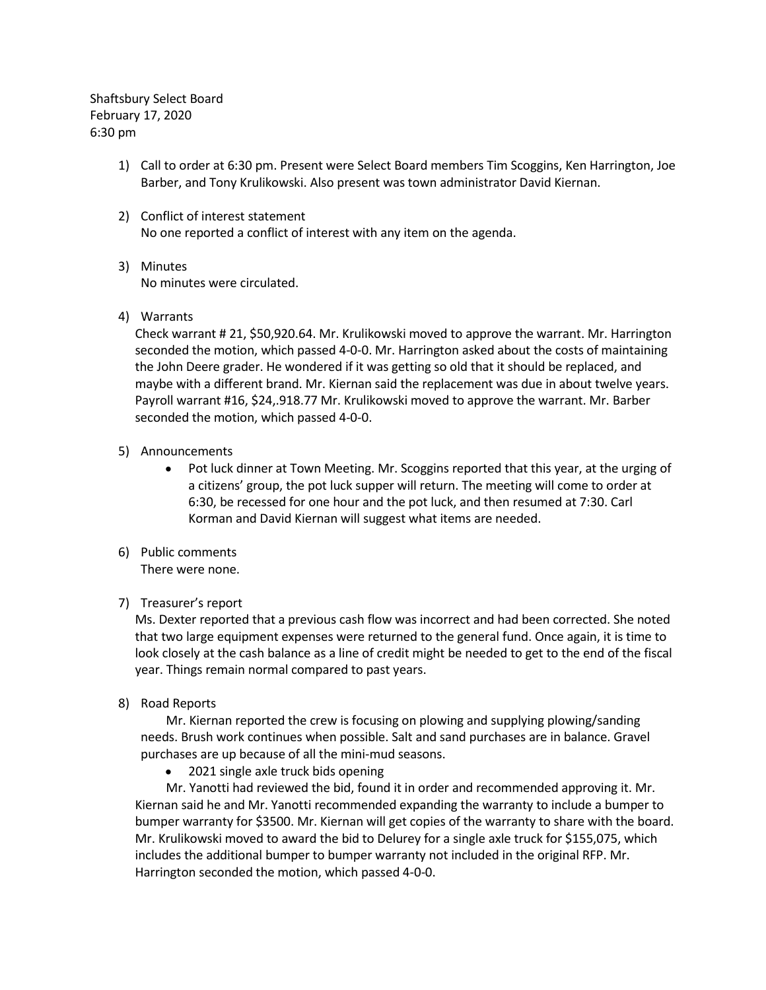Shaftsbury Select Board February 17, 2020 6:30 pm

- 1) Call to order at 6:30 pm. Present were Select Board members Tim Scoggins, Ken Harrington, Joe Barber, and Tony Krulikowski. Also present was town administrator David Kiernan.
- 2) Conflict of interest statement No one reported a conflict of interest with any item on the agenda.
- 3) Minutes No minutes were circulated.
- 4) Warrants

Check warrant # 21, \$50,920.64. Mr. Krulikowski moved to approve the warrant. Mr. Harrington seconded the motion, which passed 4-0-0. Mr. Harrington asked about the costs of maintaining the John Deere grader. He wondered if it was getting so old that it should be replaced, and maybe with a different brand. Mr. Kiernan said the replacement was due in about twelve years. Payroll warrant #16, \$24,.918.77 Mr. Krulikowski moved to approve the warrant. Mr. Barber seconded the motion, which passed 4-0-0.

- 5) Announcements
	- Pot luck dinner at Town Meeting. Mr. Scoggins reported that this year, at the urging of a citizens' group, the pot luck supper will return. The meeting will come to order at 6:30, be recessed for one hour and the pot luck, and then resumed at 7:30. Carl Korman and David Kiernan will suggest what items are needed.
- 6) Public comments There were none.

## 7) Treasurer's report

Ms. Dexter reported that a previous cash flow was incorrect and had been corrected. She noted that two large equipment expenses were returned to the general fund. Once again, it is time to look closely at the cash balance as a line of credit might be needed to get to the end of the fiscal year. Things remain normal compared to past years.

8) Road Reports

Mr. Kiernan reported the crew is focusing on plowing and supplying plowing/sanding needs. Brush work continues when possible. Salt and sand purchases are in balance. Gravel purchases are up because of all the mini-mud seasons.

• 2021 single axle truck bids opening

Mr. Yanotti had reviewed the bid, found it in order and recommended approving it. Mr. Kiernan said he and Mr. Yanotti recommended expanding the warranty to include a bumper to bumper warranty for \$3500. Mr. Kiernan will get copies of the warranty to share with the board. Mr. Krulikowski moved to award the bid to Delurey for a single axle truck for \$155,075, which includes the additional bumper to bumper warranty not included in the original RFP. Mr. Harrington seconded the motion, which passed 4-0-0.